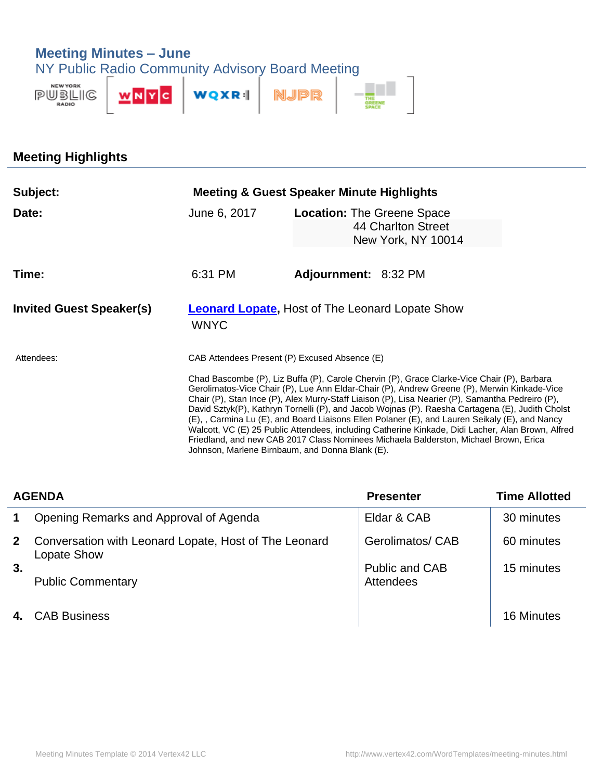

## **Meeting Highlights Subject: Meeting & Guest Speaker Minute Highlights Date: Date: Location:** The Greene Space 44 Charlton Street New York, NY 10014 **Time:** 6:31 PM **Adjournment:** 8:32 PM **Invited Guest Speaker(s) [Leonard Lopate,](http://www.wnyc.org/people/leonard-lopate/)** Host of The Leonard Lopate Show WNYC Attendees: CAB Attendees Present (P) Excused Absence (E) Chad Bascombe (P), Liz Buffa (P), Carole Chervin (P), Grace Clarke-Vice Chair (P), Barbara Gerolimatos-Vice Chair (P), Lue Ann Eldar-Chair (P), Andrew Greene (P), Merwin Kinkade-Vice Chair (P), Stan Ince (P), Alex Murry-Staff Liaison (P), Lisa Nearier (P), Samantha Pedreiro (P), David Sztyk(P), Kathryn Tornelli (P), and Jacob Wojnas (P). Raesha Cartagena (E), Judith Cholst (E), , Carmina Lu (E), and Board Liaisons Ellen Polaner (E), and Lauren Seikaly (E), and Nancy Walcott, VC (E) 25 Public Attendees, including Catherine Kinkade, Didi Lacher, Alan Brown, Alfred Friedland, and new CAB 2017 Class Nominees Michaela Balderston, Michael Brown, Erica Johnson, Marlene Birnbaum, and Donna Blank (E).

| <b>AGENDA</b>  |                                                                      | <b>Presenter</b>                          | <b>Time Allotted</b> |
|----------------|----------------------------------------------------------------------|-------------------------------------------|----------------------|
| $\mathbf 1$    | Opening Remarks and Approval of Agenda                               | Eldar & CAB                               | 30 minutes           |
| 2 <sup>1</sup> | Conversation with Leonard Lopate, Host of The Leonard<br>Lopate Show | Gerolimatos/ CAB                          | 60 minutes           |
| 3.             | <b>Public Commentary</b>                                             | <b>Public and CAB</b><br><b>Attendees</b> | 15 minutes           |
|                | 4. CAB Business                                                      |                                           | 16 Minutes           |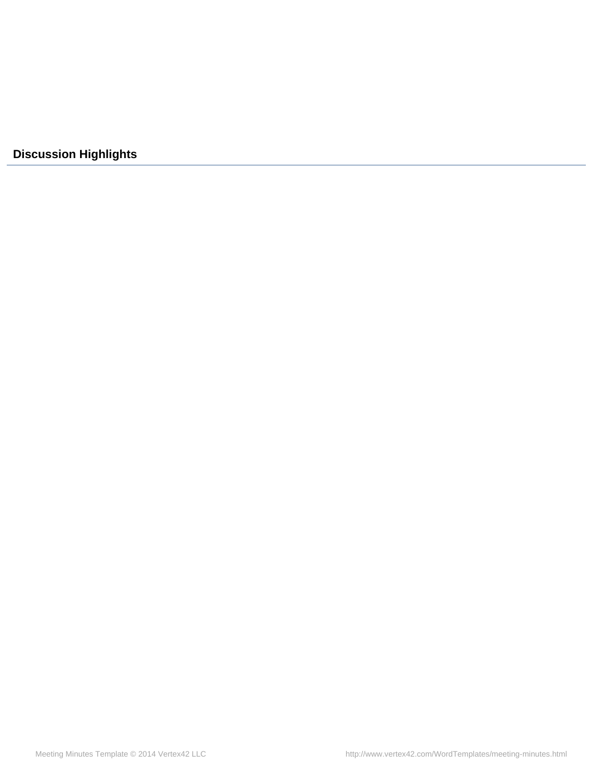**Discussion Highlights**